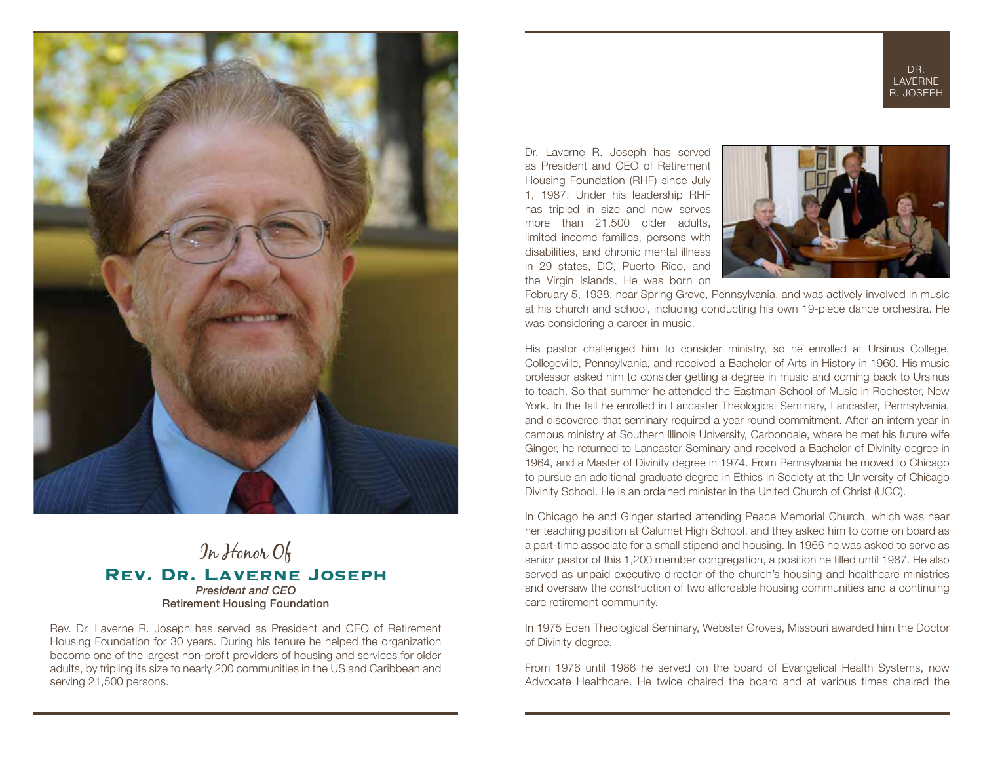



## In Honor Of **Rev. Dr. Laverne Joseph**  *President and CEO* Retirement Housing Foundation

Rev. Dr. Laverne R. Joseph has served as President and CEO of Retirement Housing Foundation for 30 years. During his tenure he helped the organization become one of the largest non-profit providers of housing and services for older adults, by tripling its size to nearly 200 communities in the US and Caribbean and serving 21,500 persons.

Dr. Laverne R. Joseph has served as President and CEO of Retirement Housing Foundation (RHF) since July 1, 1987. Under his leadership RHF has tripled in size and now serves more than 21,500 older adults, limited income families, persons with disabilities, and chronic mental illness in 29 states, DC, Puerto Rico, and the Virgin Islands. He was born on



February 5, 1938, near Spring Grove, Pennsylvania, and was actively involved in music at his church and school, including conducting his own 19-piece dance orchestra. He was considering a career in music.

His pastor challenged him to consider ministry, so he enrolled at Ursinus College, Collegeville, Pennsylvania, and received a Bachelor of Arts in History in 1960. His music professor asked him to consider getting a degree in music and coming back to Ursinus to teach. So that summer he attended the Eastman School of Music in Rochester, New York. In the fall he enrolled in Lancaster Theological Seminary, Lancaster, Pennsylvania, and discovered that seminary required a year round commitment. After an intern year in campus ministry at Southern Illinois University, Carbondale, where he met his future wife Ginger, he returned to Lancaster Seminary and received a Bachelor of Divinity degree in 1964, and a Master of Divinity degree in 1974. From Pennsylvania he moved to Chicago to pursue an additional graduate degree in Ethics in Society at the University of Chicago Divinity School. He is an ordained minister in the United Church of Christ (UCC).

In Chicago he and Ginger started attending Peace Memorial Church, which was near her teaching position at Calumet High School, and they asked him to come on board as a part-time associate for a small stipend and housing. In 1966 he was asked to serve as senior pastor of this 1,200 member congregation, a position he filled until 1987. He also served as unpaid executive director of the church's housing and healthcare ministries and oversaw the construction of two affordable housing communities and a continuing care retirement community.

In 1975 Eden Theological Seminary, Webster Groves, Missouri awarded him the Doctor of Divinity degree.

From 1976 until 1986 he served on the board of Evangelical Health Systems, now Advocate Healthcare. He twice chaired the board and at various times chaired the